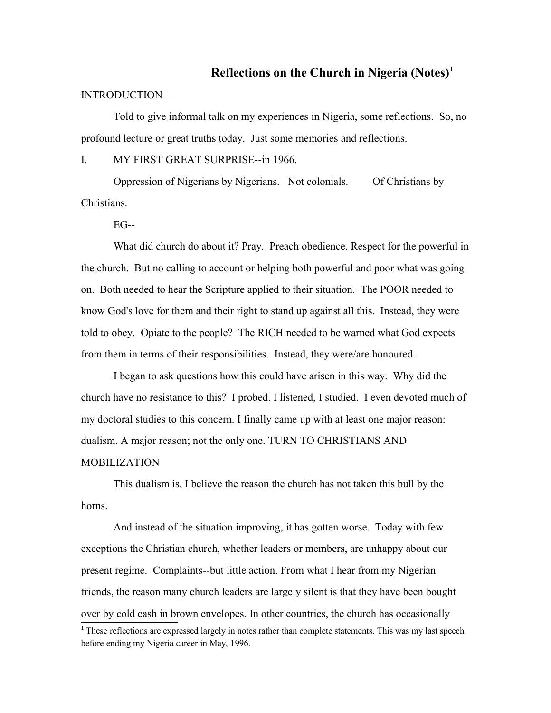## **Reflections on the Church in Nigeria (Notes)[1](#page-0-0)**

## INTRODUCTION--

Told to give informal talk on my experiences in Nigeria, some reflections. So, no profound lecture or great truths today. Just some memories and reflections.

I. MY FIRST GREAT SURPRISE--in 1966.

Oppression of Nigerians by Nigerians. Not colonials. Of Christians by Christians.

 $EG-$ 

What did church do about it? Pray. Preach obedience. Respect for the powerful in the church. But no calling to account or helping both powerful and poor what was going on. Both needed to hear the Scripture applied to their situation. The POOR needed to know God's love for them and their right to stand up against all this. Instead, they were told to obey. Opiate to the people? The RICH needed to be warned what God expects from them in terms of their responsibilities. Instead, they were/are honoured.

I began to ask questions how this could have arisen in this way. Why did the church have no resistance to this? I probed. I listened, I studied. I even devoted much of my doctoral studies to this concern. I finally came up with at least one major reason: dualism. A major reason; not the only one. TURN TO CHRISTIANS AND **MOBILIZATION** 

This dualism is, I believe the reason the church has not taken this bull by the horns.

And instead of the situation improving, it has gotten worse. Today with few exceptions the Christian church, whether leaders or members, are unhappy about our present regime. Complaints--but little action. From what I hear from my Nigerian friends, the reason many church leaders are largely silent is that they have been bought over by cold cash in brown envelopes. In other countries, the church has occasionally

<span id="page-0-0"></span><sup>&</sup>lt;sup>1</sup> These reflections are expressed largely in notes rather than complete statements. This was my last speech before ending my Nigeria career in May, 1996.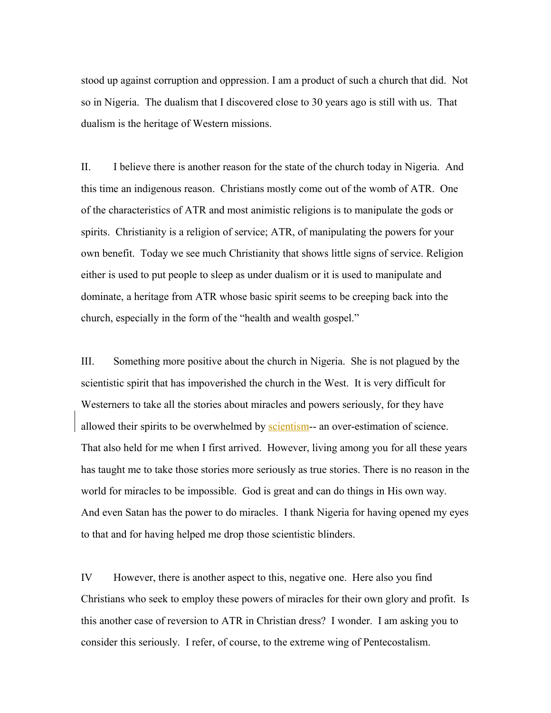stood up against corruption and oppression. I am a product of such a church that did. Not so in Nigeria. The dualism that I discovered close to 30 years ago is still with us. That dualism is the heritage of Western missions.

II. I believe there is another reason for the state of the church today in Nigeria. And this time an indigenous reason. Christians mostly come out of the womb of ATR. One of the characteristics of ATR and most animistic religions is to manipulate the gods or spirits. Christianity is a religion of service; ATR, of manipulating the powers for your own benefit. Today we see much Christianity that shows little signs of service. Religion either is used to put people to sleep as under dualism or it is used to manipulate and dominate, a heritage from ATR whose basic spirit seems to be creeping back into the church, especially in the form of the "health and wealth gospel."

III. Something more positive about the church in Nigeria. She is not plagued by the scientistic spirit that has impoverished the church in the West. It is very difficult for Westerners to take all the stories about miracles and powers seriously, for they have allowed their spirits to be overwhelmed by scientism-- an over-estimation of science. That also held for me when I first arrived. However, living among you for all these years has taught me to take those stories more seriously as true stories. There is no reason in the world for miracles to be impossible. God is great and can do things in His own way. And even Satan has the power to do miracles. I thank Nigeria for having opened my eyes to that and for having helped me drop those scientistic blinders.

IV However, there is another aspect to this, negative one. Here also you find Christians who seek to employ these powers of miracles for their own glory and profit. Is this another case of reversion to ATR in Christian dress? I wonder. I am asking you to consider this seriously. I refer, of course, to the extreme wing of Pentecostalism.